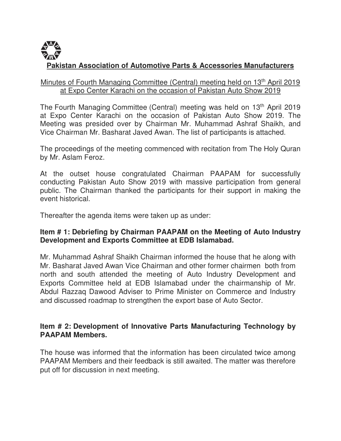# **Pakistan Association of Automotive Parts & Accessories Manufacturers**

#### Minutes of Fourth Managing Committee (Central) meeting held on 13<sup>th</sup> April 2019 at Expo Center Karachi on the occasion of Pakistan Auto Show 2019

The Fourth Managing Committee (Central) meeting was held on 13<sup>th</sup> April 2019 at Expo Center Karachi on the occasion of Pakistan Auto Show 2019. The Meeting was presided over by Chairman Mr. Muhammad Ashraf Shaikh, and Vice Chairman Mr. Basharat Javed Awan. The list of participants is attached.

The proceedings of the meeting commenced with recitation from The Holy Quran by Mr. Aslam Feroz.

At the outset house congratulated Chairman PAAPAM for successfully conducting Pakistan Auto Show 2019 with massive participation from general public. The Chairman thanked the participants for their support in making the event historical.

Thereafter the agenda items were taken up as under:

### **Item # 1: Debriefing by Chairman PAAPAM on the Meeting of Auto Industry Development and Exports Committee at EDB Islamabad.**

Mr. Muhammad Ashraf Shaikh Chairman informed the house that he along with Mr. Basharat Javed Awan Vice Chairman and other former chairmen both from north and south attended the meeting of Auto Industry Development and Exports Committee held at EDB Islamabad under the chairmanship of Mr. Abdul Razzaq Dawood Adviser to Prime Minister on Commerce and Industry and discussed roadmap to strengthen the export base of Auto Sector.

### **Item # 2: Development of Innovative Parts Manufacturing Technology by PAAPAM Members.**

The house was informed that the information has been circulated twice among PAAPAM Members and their feedback is still awaited. The matter was therefore put off for discussion in next meeting.